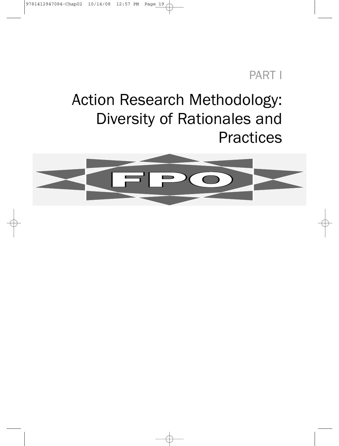## PART I

## Action Research Methodology: Diversity of Rationales and **Practices**

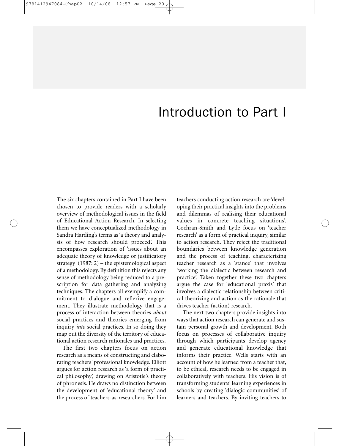## Introduction to Part I

The six chapters contained in Part I have been chosen to provide readers with a scholarly overview of methodological issues in the field of Educational Action Research. In selecting them we have conceptualized methodology in Sandra Harding's terms as 'a theory and analysis of how research should proceed'. This encompasses exploration of 'issues about an adequate theory of knowledge or justificatory strategy' (1987: 2) – the epistemological aspect of a methodology. By definition this rejects any sense of methodology being reduced to a prescription for data gathering and analyzing techniques. The chapters all exemplify a commitment to dialogue and reflexive engagement. They illustrate methodology that is a process of interaction between theories *about* social practices and theories emerging from inquiry *into* social practices. In so doing they map out the diversity of the territory of educational action research rationales and practices.

The first two chapters focus on action research as a means of constructing and elaborating teachers' professional knowledge. Elliott argues for action research as 'a form of practical philosophy', drawing on Aristotle's theory of phronesis. He draws no distinction between the development of 'educational theory' and the process of teachers-as-researchers. For him teachers conducting action research are 'developing their practical insights into the problems and dilemmas of realising their educational values in concrete teaching situations'. Cochran-Smith and Lytle focus on 'teacher research' as a form of practical inquiry, similar to action research. They reject the traditional boundaries between knowledge generation and the process of teaching, characterizing teacher research as a 'stance' that involves 'working the dialectic between research and practice'. Taken together these two chapters argue the case for 'educational praxis' that involves a dialectic relationship between critical theorizing and action as the rationale that drives teacher (action) research.

The next two chapters provide insights into ways that action research can generate and sustain personal growth and development. Both focus on processes of collaborative inquiry through which participants develop agency and generate educational knowledge that informs their practice. Wells starts with an account of how he learned from a teacher that, to be ethical, research needs to be engaged in collaboratively with teachers. His vision is of transforming students' learning experiences in schools by creating 'dialogic communities' of learners and teachers. By inviting teachers to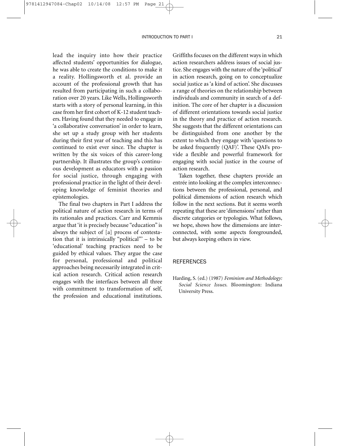#### INTRODUCTION TO PART I 21

lead the inquiry into how their practice affected students' opportunities for dialogue, he was able to create the conditions to make it a reality. Hollingsworth et al. provide an account of the professional growth that has resulted from participating in such a collaboration over 20 years. Like Wells, Hollingsworth starts with a story of personal learning, in this case from her first cohort of K-12 student teachers. Having found that they needed to engage in 'a collaborative conversation' in order to learn, she set up a study group with her students during their first year of teaching and this has continued to exist ever since. The chapter is written by the six voices of this career-long partnership. It illustrates the group's continuous development as educators with a passion for social justice, through engaging with professional practice in the light of their developing knowledge of feminist theories and epistemologies.

The final two chapters in Part I address the political nature of action research in terms of its rationales and practices. Carr and Kemmis argue that 'it is precisely because "education" is always the subject of [a] process of contestation that it is intrinsically "political"' – to be 'educational' teaching practices need to be guided by ethical values. They argue the case for personal, professional and political approaches being necessarily integrated in critical action research. Critical action research engages with the interfaces between all three with commitment to transformation of self, the profession and educational institutions.

Griffiths focuses on the different ways in which action researchers address issues of social justice. She engages with the nature of the 'political' in action research, going on to conceptualize social justice as 'a kind of action'. She discusses a range of theories on the relationship between individuals and community in search of a definition. The core of her chapter is a discussion of different orientations towards social justice in the theory and practice of action research. She suggests that the different orientations can be distinguished from one another by the extent to which they engage with 'questions to be asked frequently (QAF)'. These QAFs provide a flexible and powerful framework for engaging with social justice in the course of action research.

Taken together, these chapters provide an entrée into looking at the complex interconnections between the professional, personal, and political dimensions of action research which follow in the next sections. But it seems worth repeating that these are 'dimensions' rather than discrete categories or typologies. What follows, we hope, shows how the dimensions are interconnected, with some aspects foregrounded, but always keeping others in view.

#### REFERENCES

Harding, S. (ed.) (1987) *Feminism and Methodology: Social Science Issues*. Bloomington: Indiana University Press.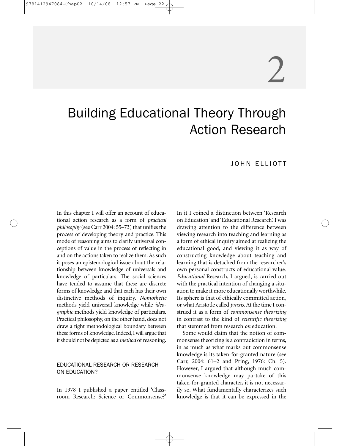# 2

## Building Educational Theory Through Action Research

#### JOHN ELLIOTT

In this chapter I will offer an account of educational action research as a form of *practical philosophy* (see Carr 2004: 55–73) that unifies the process of developing theory and practice. This mode of reasoning aims to clarify universal conceptions of value in the process of reflecting in and on the actions taken to realize them. As such it poses an epistemological issue about the relationship between knowledge of universals and knowledge of particulars. The social sciences have tended to assume that these are discrete forms of knowledge and that each has their own distinctive methods of inquiry. *Nomothetic* methods yield universal knowledge while *ideographic* methods yield knowledge of particulars. Practical philosophy, on the other hand, does not draw a tight methodological boundary between these forms of knowledge. Indeed,I will argue that it should not be depicted as a *method* of reasoning.

#### EDUCATIONAL RESEARCH OR RESEARCH ON EDUCATION?

In 1978 I published a paper entitled 'Classroom Research: Science or Commonsense?' In it I coined a distinction between 'Research on Education' and 'Educational Research'. I was drawing attention to the difference between viewing research into teaching and learning as a form of ethical inquiry aimed at realizing the educational good, and viewing it as way of constructing knowledge about teaching and learning that is detached from the researcher's own personal constructs of educational value. *Educational* Research, I argued, is carried out with the practical intention of changing a situation to make it more educationally worthwhile. Its sphere is that of ethically committed action, or what Aristotle called *praxis.* At the time I construed it as a form of *commonsense theorizing* in contrast to the kind of *scientific theorizing* that stemmed from research *on* education.

Some would claim that the notion of commonsense theorizing is a contradiction in terms, in as much as what marks out commonsense knowledge is its taken-for-granted nature (see Carr, 2004: 61–2 and Pring, 1976: Ch. 5). However, I argued that although much commonsense knowledge may partake of this taken-for-granted character, it is not necessarily so. What fundamentally characterizes such knowledge is that it can be expressed in the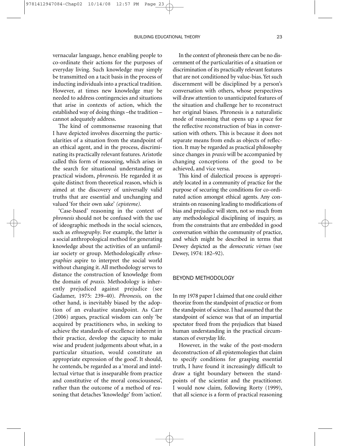vernacular language, hence enabling people to co-ordinate their actions for the purposes of everyday living. Such knowledge may simply be transmitted on a tacit basis in the process of inducting individuals into a practical tradition. However, at times new knowledge may be needed to address contingencies and situations that arise in contexts of action, which the established way of doing things –the tradition – cannot adequately address.

The kind of commonsense reasoning that I have depicted involves discerning the particularities of a situation from the standpoint of an ethical agent, and in the process, discriminating its practically relevant features. Aristotle called this form of reasoning, which arises in the search for situational understanding or practical wisdom, *phronesis*. He regarded it as quite distinct from theoretical reason, which is aimed at the discovery of universally valid truths that are essential and unchanging and valued 'for their own sake' *(episteme).*

'Case-based' reasoning in the context of *phronesis* should not be confused with the use of ideographic methods in the social sciences, such as *ethnography*. For example, the latter is a social anthropological method for generating knowledge about the activities of an unfamiliar society or group. Methodologically *ethnographies* aspire to interpret the social world without changing it. All methodology serves to distance the construction of knowledge from the domain of *praxis.* Methodology is inherently prejudiced against prejudice (see Gadamer, 1975: 239–40). *Phronesis,* on the other hand, is inevitably biased by the adoption of an evaluative standpoint. As Carr (2006) argues, practical wisdom can only 'be acquired by practitioners who, in seeking to achieve the standards of excellence inherent in their practice, develop the capacity to make wise and prudent judgements about what, in a particular situation, would constitute an appropriate expression of the good'. It should, he contends, be regarded as a 'moral and intellectual virtue that is inseparable from practice and constitutive of the moral consciousness', rather than the outcome of a method of reasoning that detaches 'knowledge' from 'action'.

In the context of phronesis there can be no discernment of the particularities of a situation or discrimination of its practically relevant features that are not conditioned by value-bias. Yet such discernment will be disciplined by a person's conversation with others, whose perspectives will draw attention to unanticipated features of the situation and challenge her to reconstruct her original biases. Phronesis is a naturalistic mode of reasoning that opens up a space for the reflective reconstruction of bias in conversation with others. This is because it does not separate means from ends as objects of reflection. It may be regarded as practical philosophy since changes in *praxis* will be accompanied by changing conceptions of the good to be achieved, and vice versa.

This kind of dialectical process is appropriately located in a community of practice for the purpose of securing the conditions for co-ordinated action amongst ethical agents. Any constraints on reasoning leading to modifications of bias and prejudice will stem, not so much from any methodological disciplining of inquiry, as from the constraints that are embedded in good conversation within the community of practice, and which might be described in terms that Dewey depicted as the *democratic virtues* (see Dewey, 1974: 182–92).

#### BEYOND METHODOLOGY

In my 1978 paper I claimed that one could either theorize from the standpoint of practice or from the standpoint of science. I had assumed that the standpoint of science was that of an impartial spectator freed from the prejudices that biased human understanding in the practical circumstances of everyday life.

However, in the wake of the post-modern deconstruction of all epistemologies that claim to specify conditions for grasping essential truth, I have found it increasingly difficult to draw a tight boundary between the standpoints of the scientist and the practitioner. I would now claim, following Rorty (1999), that all science is a form of practical reasoning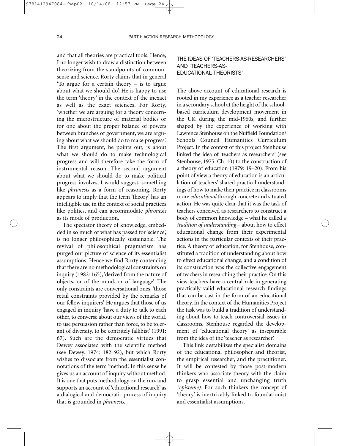and that all theories are practical tools. Hence, I no longer wish to draw a distinction between theorizing from the standpoints of commonsense and science. Rorty claims that in general 'To argue for a certain theory – is to argue about what we should do'. He is happy to use the term 'theory' in the context of the inexact as well as the exact sciences. For Rorty, 'whether we are arguing for a theory concerning the microstructure of material bodies or for one about the proper balance of powers between branches of government, we are arguing about what we should do to make progress'. The first argument, he points out, is about what we should do to make technological progress and will therefore take the form of instrumental reason. The second argument about what we should do to make political progress involves, I would suggest, something like *phronesis* as a form of reasoning. Rorty appears to imply that the term 'theory' has an intelligible use in the context of social practices like politics, and can accommodate *phronesis* as its mode of production.

The spectator theory of knowledge, embedded in so much of what has passed for 'science', is no longer philosophically sustainable. The revival of philosophical pragmatism has purged our picture of science of its essentialist assumptions. Hence we find Rorty contending that there are no methodological constraints on inquiry (1982: 165), 'derived from the nature of objects, or of the mind, or of language'. The only constraints are conversational ones, 'those retail constraints provided by the remarks of our fellow inquirers'. He argues that those of us engaged in inquiry 'have a duty to talk to each other, to converse about our views of the world, to use persuasion rather than force, to be tolerant of diversity, to be contritely fallibist' (1991: 67). Such are the democratic virtues that Dewey associated with the scientific method (see Dewey. 1974: 182–92), but which Rorty wishes to dissociate from the essentialist connotations of the term 'method'. In this sense he gives us an account of inquiry without method. It is one that puts methodology on the run, and supports an account of 'educational research' as a dialogical and democratic process of inquiry that is grounded in *phronesis*.

#### THE IDEAS OF 'TEACHERS-AS-RESEARCHERS' AND 'TEACHERS-AS-EDUCATIONAL THEORISTS'

The above account of educational research is rooted in my experience as a teacher researcher in a secondary school at the height of the schoolbased curriculum development movement in the UK during the mid-1960s, and further shaped by the experience of working with Lawrence Stenhouse on the Nuffield Foundation/ Schools Council Humanities Curriculum Project. In the context of this project Stenhouse linked the idea of 'teachers as researchers' (see Stenhouse, 1975: Ch. 10) to the construction of a theory of education (1979: 19–20). From his point of view a theory of education is an articulation of teachers' shared practical understandings of how to make their practice in classrooms more *educational* through concrete and situated action. He was quite clear that it was the task of teachers conceived as researchers to construct a body of common knowledge – what he called *a tradition of understanding* – about how to effect educational change from their experimental actions in the particular contexts of their practice. A theory of education, for Stenhouse, constituted a tradition of understanding about how to effect educational change, and a condition of its construction was the collective engagement of teachers in researching their practice. On this view teachers have a central role in generating practically valid educational research findings that can be cast in the form of an educational theory. In the context of the Humanities Project the task was to build a tradition of understanding about how to teach controversial issues in classrooms. Stenhouse regarded the development of 'educational theory' as inseparable from the idea of the 'teacher as researcher'.

This link destabilizes the specialist domains of the educational philosopher and theorist, the empirical researcher, and the practitioner. It will be contested by those post-modern thinkers who associate theory with the claim to grasp essential and unchanging truth *(episteme)*. For such thinkers the concept of 'theory' is inextricably linked to foundationist and essentialist assumptions.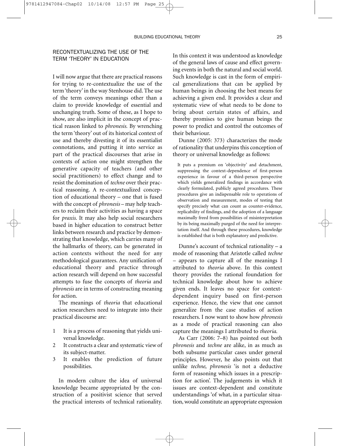#### RECONTEXTUALIZING THE USE OF THE TERM 'THEORY' IN EDUCATION

I will now argue that there are practical reasons for trying to re-contextualize the use of the term 'theory' in the way Stenhouse did. The use of the term conveys meanings other than a claim to provide knowledge of essential and unchanging truth. Some of these, as I hope to show, are also implicit in the concept of practical reason linked to *phronesis.* By wrenching the term 'theory' out of its historical context of use and thereby divesting it of its essentialist connotations, and putting it into service as part of the practical discourses that arise in contexts of action one might strengthen the generative capacity of teachers (and other social practitioners) to effect change and to resist the domination of *techne* over their practical reasoning. A re-contextualized conception of educational theory – one that is fused with the concept of *phronesis* – may help teachers to reclaim their activities as having a space for *praxis*. It may also help social researchers based in higher education to construct better links between research and practice by demonstrating that knowledge, which carries many of the hallmarks of theory, can be generated in action contexts without the need for any methodological guarantees. Any unification of educational theory and practice through action research will depend on how successful attempts to fuse the concepts of *theoria* and *phronesis* are in terms of constructing meaning for action.

The meanings of *theoria* that educational action researchers need to integrate into their practical discourse are:

- 1 It is a process of reasoning that yields universal knowledge.
- 2 It constructs a clear and systematic view of its subject-matter.
- 3 It enables the prediction of future possibilities.

In modern culture the idea of universal knowledge became appropriated by the construction of a positivist science that served the practical interests of technical rationality.

In this context it was understood as knowledge of the general laws of cause and effect governing events in both the natural and social world. Such knowledge is cast in the form of empirical generalizations that can be applied by human beings in choosing the best means for achieving a given end. It provides a clear and systematic view of what needs to be done to bring about certain states of affairs, and thereby promises to give human beings the power to predict and control the outcomes of their behaviour.

Dunne (2005: 373) characterizes the mode of rationality that underpins this conception of theory or universal knowledge as follows:

It puts a premium on 'objectivity' and detachment, suppressing the context-dependence of first-person experience in favour of a third-person perspective which yields generalized findings in accordance with clearly formulated, publicly agreed procedures. These procedures give an indispensable role to operations of observation and measurement, modes of testing that specify precisely what can count as counter-evidence, replicability of findings, and the adoption of a language maximally freed from possibilities of misinterpretation by its being maximally purged of the need for interpretation itself. And through these procedures, knowledge is established that is both explanatory and predictive.

Dunne's account of technical rationality – a mode of reasoning that Aristotle called *techne –* appears to capture all of the meanings I attributed to *theoria* above. In this context theory provides the rational foundation for technical knowledge about how to achieve given ends. It leaves no space for contextdependent inquiry based on first-person experience. Hence, the view that one cannot generalize from the case studies of action researchers. I now want to show how *phronesis* as a mode of practical reasoning can also capture the meanings I attributed to *theoria*.

As Carr (2006: 7–8) has pointed out both *phronesis* and *techne* are alike, in as much as both subsume particular cases under general principles. However, he also points out that unlike *techne*, *phronesis* 'is not a deductive form of reasoning which issues in a prescription for action'. The judgements in which it issues are context-dependent and constitute understandings 'of what, in a particular situation, would constitute an appropriate expression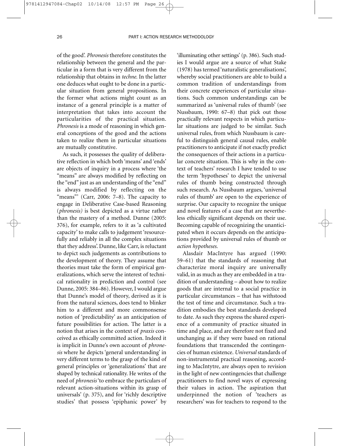of the good'. *Phronesis* therefore constitutes the relationship between the general and the particular in a form that is very different from the relationship that obtains in *techne.* In the latter one deduces what ought to be done in a particular situation from general propositions. In the former what actions might count as an instance of a general principle is a matter of interpretation that takes into account the particularities of the practical situation. *Phronesis* is a mode of reasoning in which general conceptions of the good and the actions taken to realize them in particular situations are mutually constitutive.

As such, it possesses the quality of deliberative reflection in which both 'means' and 'ends' are objects of inquiry in a process where 'the "means" are always modified by reflecting on the "end" just as an understanding of the "end" is always modified by reflecting on the "means"' (Carr, 2006:  $7-8$ ). The capacity to engage in Deliberative Case-based Reasoning (*phronesis)* is best depicted as a virtue rather than the mastery of a method. Dunne (2005: 376), for example, refers to it as 'a cultivated capacity' to make calls to judgement 'resourcefully and reliably in all the complex situations that they address'. Dunne, like Carr, is reluctant to depict such judgements as contributions to the development of theory. They assume that theories must take the form of empirical generalizations, which serve the interest of technical rationality in prediction and control (see Dunne, 2005: 384–86). However, I would argue that Dunne's model of theory, derived as it is from the natural sciences, does tend to blinker him to a different and more commonsense notion of 'predictability' as an anticipation of future possibilities for action. The latter is a notion that arises in the context of *praxis* conceived as ethically committed action. Indeed it is implicit in Dunne's own account of *phronesis* where he depicts 'general understanding' in very different terms to the grasp of the kind of general principles or 'generalizations' that are shaped by technical rationality. He writes of the need of *phronesis*'to embrace the particulars of relevant action-situations within its grasp of universals' (p. 375), and for 'richly descriptive studies' that possess 'epiphanic power' by

'illuminating other settings' (p. 386). Such studies I would argue are a source of what Stake (1978) has termed 'naturalistic generalisations', whereby social practitioners are able to build a common tradition of understandings from their concrete experiences of particular situations. Such common understandings can be summarized as 'universal rules of thumb' (see Nussbaum, 1990: 67–8) that pick out those practically relevant respects in which particular situations are judged to be similar. Such universal rules, from which Nussbaum is careful to distinguish general causal rules, enable practitioners to anticipate if not exactly predict the consequences of their actions in a particular concrete situation. This is why in the context of teachers' research I have tended to use the term 'hypotheses' to depict the universal rules of thumb being constructed through such research. As Nussbaum argues, 'universal rules of thumb' are open to the experience of surprise. Our capacity to recognize the unique and novel features of a case that are nevertheless ethically significant depends on their use. Becoming capable of recognizing the unanticipated when it occurs depends on the anticipations provided by universal rules of thumb or *action hypotheses*.

Alasdair MacIntyre has argued (1990: 59–61) that the standards of reasoning that characterize moral inquiry are universally valid, in as much as they are embedded in a tradition of understanding – about how to realize goods that are internal to a social practice in particular circumstances – that has withstood the test of time and circumstance. Such a tradition embodies the best standards developed to date. As such they express the shared experience of a community of practice situated in time and place, and are therefore not fixed and unchanging as if they were based on rational foundations that transcended the contingencies of human existence. *Universal* standards of non-instrumental practical reasoning, according to MacIntytre, are always open to revision in the light of new contingencies that challenge practitioners to find novel ways of expressing their values in action. The aspiration that underpinned the notion of 'teachers as researchers' was for teachers to respond to the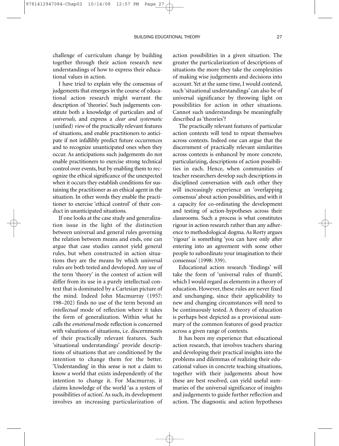challenge of curriculum change by building together through their action research new understandings of how to express their educational values in action.

I have tried to explain why the consensus of judgements that emerges in the course of educational action research might warrant the description of 'theories'. Such judgements constitute both a knowledge of particulars and of *universals,* and express a *clear and systematic* (unified) *view* of the practically relevant features of situations, and enable practitioners to anticipate if not infallibly predict future occurrences and to recognize unanticipated ones when they occur. As anticipations such judgements do not enable practitioners to exercise strong technical control over events, but by enabling them to recognize the ethical significance of the unexpected when it occurs they establish conditions for sustaining the practitioner as an ethical agent in the situation. In other words they enable the practitioner to exercise 'ethical control' of their conduct in unanticipated situations.

If one looks at the case study and generalization issue in the light of the distinction between universal and general rules governing the relation between means and ends, one can argue that case studies cannot yield general rules, but when constructed in action situations they are the means by which universal rules are both tested and developed. Any use of the term 'theory' in the context of action will differ from its use in a purely intellectual context that is dominated by a Cartesian picture of the mind. Indeed John Macmurray (1957: 198–202) finds no use of the term beyond an *intellectual* mode of reflection where it takes the form of generalization. Within what he calls the *emotional* mode reflection is concerned with valuations of situations, i.e. discernments of their practically relevant features. Such 'situational understandings' provide descriptions of situations that are conditioned by the intention to change them for the better. 'Understanding' in this sense is not a claim to know a world that exists independently of the intention to change it. For Macmurray, it claims knowledge of the world 'as a system of possibilities of action'. As such, its development involves an increasing particularization of

action possibilities in a given situation. The greater the particularization of descriptions of situations the more they take the complexities of making wise judgements and decisions into account. Yet at the same time, I would contend, such 'situational understandings' can also be of universal significance by throwing light on possibilities for action in other situations. Cannot such understandings be meaningfully described as 'theories'?

The practically relevant features of particular action contexts will tend to repeat themselves across contexts. Indeed one can argue that the discernment of practically relevant similarities across contexts is enhanced by more concrete, particularizing, descriptions of action possibilities in each. Hence, when communities of teacher researchers develop such descriptions in disciplined conversation with each other they will increasingly experience an 'overlapping consensus' about action possibilities, and with it a capacity for co-ordinating the development and testing of action-hypotheses across their classrooms. Such a process is what constitutes rigour in action research rather than any adherence to methodological dogma. As Rorty argues 'rigour' is something 'you can have only after entering into an agreement with some other people to subordinate your imagination to their consensus' (1998: 339).

Educational action research 'findings' will take the form of 'universal rules of thumb', which I would regard as elements in a theory of education. However, these rules are never fixed and unchanging, since their applicability to new and changing circumstances will need to be continuously tested. A theory of education is perhaps best depicted as a provisional summary of the common features of good practice across a given range of contexts.

It has been my experience that educational action research, that involves teachers sharing and developing their practical insights into the problems and dilemmas of realizing their educational values in concrete teaching situations, together with their judgements about how these are best resolved, can yield useful summaries of the universal significance of insights and judgements to guide further reflection and action. The diagnostic and action hypotheses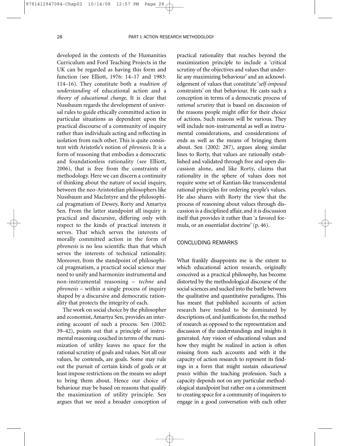developed in the contexts of the Humanities Curriculum and Ford Teaching Projects in the UK can be regarded as having this form and function (see Elliott, 1976: 14–17 and 1983: 114–16). They constitute both a *tradition of understanding* of educational action and a *theory of educational change*. It is clear that Nussbaum regards the development of universal rules to guide ethically committed action in particular situations as dependent upon the practical discourse of a community of inquiry rather than individuals acting and reflecting in isolation from each other. This is quite consistent with Aristotle's notion of *phronesis*. It is a form of reasoning that embodies a democratic and foundationless rationality (see Elliott, 2006), that is free from the constraints of methodology. Here we can discern a continuity of thinking about the nature of social inquiry, between the neo-Aristotelian philosophers like Nussbaum and MacIntyre and the philosophical pragmatism of Dewey, Rorty and Amartya Sen. From the latter standpoint all inquiry is practical and discursive, differing only with respect to the kinds of practical interests it serves. That which serves the interests of morally committed action in the form of *phronesis* is no less scientific than that which serves the interests of technical rationality. Moreover, from the standpoint of philosophical pragmatism, a practical social science may need to unify and harmonize instrumental and non-instrumental reasoning – *techne* and *phronesis* – within *a* single process of inquiry shaped by a discursive and democratic rationality that protects the integrity of each.

The work on social choice by the philosopher and economist, Amartya Sen, provides an interesting account of such a process. Sen (2002: 39–42), points out that a principle of instrumental reasoning couched in terms of the maximization of utility leaves no space for the rational scrutiny of goals and values. Not all our values, he contends, are goals. Some may rule out the pursuit of certain kinds of goals or at least impose restrictions on the means we adopt to bring them about. Hence our choice of behaviour may be based on reasons that qualify the maximization of utility principle. Sen argues that we need a broader conception of

practical rationality that reaches beyond the maximization principle to include a 'critical scrutiny of the objectives and values that underlie any maximizing behaviour' and an acknowledgement of values that constitute '*self-imposed* constraints' on that behaviour. He casts such a conception in terms of a democratic process of *rational scrutiny* that is based on discussion of the reasons people might offer for their choice of actions. Such reasons will be various. They will include non-instrumental as well as instrumental considerations, and considerations of ends as well as the means of bringing them about. Sen (2002: 287), argues along similar lines to Rorty, that values are rationally established and validated through free and open discussion alone, and like Rorty, claims that rationality in the sphere of values does not require some set of Kantian-like transcendental rational principles for ordering people's values. He also shares with Rorty the view that the process of reasoning about values through discussion is a disciplined affair, and it is discussion itself that provides it rather than 'a favored formula, or an essentialist doctrine' (p. 46).

#### CONCLUDING REMARKS

What frankly disappoints me is the extent to which educational action research, originally conceived as a practical philosophy, has become distorted by the methodological discourse of the social sciences and sucked into the battle between the qualitative and quantitative paradigms. This has meant that published accounts of action research have tended to be dominated by descriptions of, and justifications for, the method of research as opposed to the representation and discussion of the understandings and insights it generated. Any vision of educational values and how they might be realized in action is often missing from such accounts and with it the capacity of action research to represent its findings in a form that might sustain *educational praxis* within the teaching profession. Such a capacity depends not on any particular methodological standpoint but rather on a commitment to creating space for a community of inquirers to engage in a good conversation with each other